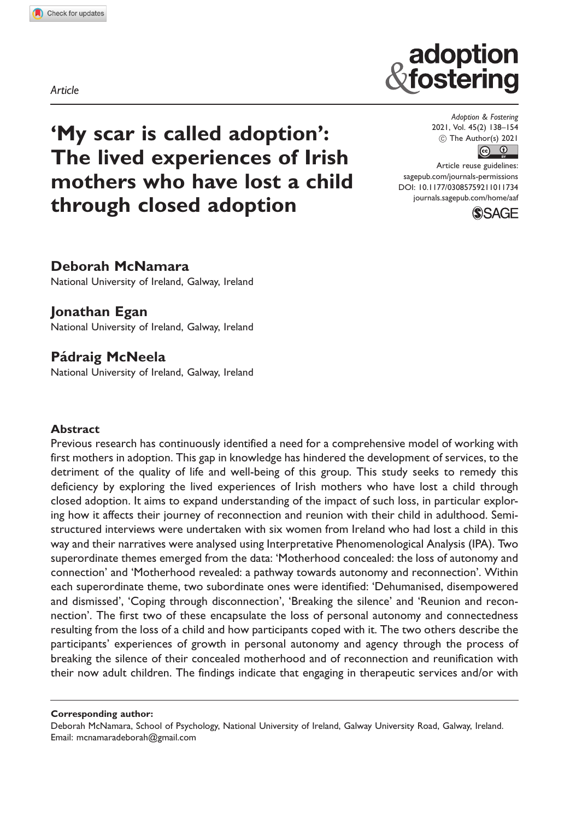Article

# 'My scar is called adoption': The lived experiences of Irish mothers who have lost a child through closed adoption

Adoption & Fostering 2021, Vol. 45(2) 138–154  $\circledcirc$  The Author(s) 2021  $\circledcirc$   $\circledcirc$ 

adoption<br>fostering

Article reuse guidelines: [sagepub.com/journals-permissions](http://uk.sagepub.com/en-gb/journals-permissions) [DOI: 10.1177/03085759211011734](http://dx.doi.org/10.1177/03085759211011734) <journals.sagepub.com/home/aaf>



# Deborah McNamara

National University of Ireland, Galway, Ireland

## Jonathan Egan

National University of Ireland, Galway, Ireland

# Pádraig McNeela

National University of Ireland, Galway, Ireland

#### **Abstract**

Previous research has continuously identified a need for a comprehensive model of working with first mothers in adoption. This gap in knowledge has hindered the development of services, to the detriment of the quality of life and well-being of this group. This study seeks to remedy this deficiency by exploring the lived experiences of Irish mothers who have lost a child through closed adoption. It aims to expand understanding of the impact of such loss, in particular exploring how it affects their journey of reconnection and reunion with their child in adulthood. Semistructured interviews were undertaken with six women from Ireland who had lost a child in this way and their narratives were analysed using Interpretative Phenomenological Analysis (IPA). Two superordinate themes emerged from the data: 'Motherhood concealed: the loss of autonomy and connection' and 'Motherhood revealed: a pathway towards autonomy and reconnection'. Within each superordinate theme, two subordinate ones were identified: 'Dehumanised, disempowered and dismissed', 'Coping through disconnection', 'Breaking the silence' and 'Reunion and reconnection'. The first two of these encapsulate the loss of personal autonomy and connectedness resulting from the loss of a child and how participants coped with it. The two others describe the participants' experiences of growth in personal autonomy and agency through the process of breaking the silence of their concealed motherhood and of reconnection and reunification with their now adult children. The findings indicate that engaging in therapeutic services and/or with

Corresponding author:

Deborah McNamara, School of Psychology, National University of Ireland, Galway University Road, Galway, Ireland. Email: [mcnamaradeborah@gmail.com](mailto:mcnamaradeborah@gmail.com)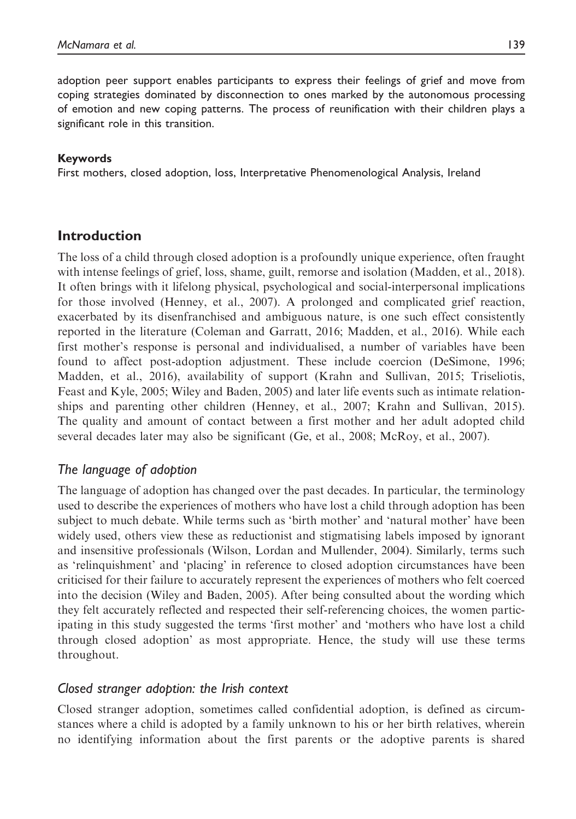adoption peer support enables participants to express their feelings of grief and move from coping strategies dominated by disconnection to ones marked by the autonomous processing of emotion and new coping patterns. The process of reunification with their children plays a significant role in this transition.

#### Keywords

First mothers, closed adoption, loss, Interpretative Phenomenological Analysis, Ireland

# Introduction

The loss of a child through closed adoption is a profoundly unique experience, often fraught with intense feelings of grief, loss, shame, guilt, remorse and isolation (Madden, et al., 2018). It often brings with it lifelong physical, psychological and social-interpersonal implications for those involved (Henney, et al., 2007). A prolonged and complicated grief reaction, exacerbated by its disenfranchised and ambiguous nature, is one such effect consistently reported in the literature (Coleman and Garratt, 2016; Madden, et al., 2016). While each first mother's response is personal and individualised, a number of variables have been found to affect post-adoption adjustment. These include coercion (DeSimone, 1996; Madden, et al., 2016), availability of support (Krahn and Sullivan, 2015; Triseliotis, Feast and Kyle, 2005; Wiley and Baden, 2005) and later life events such as intimate relationships and parenting other children (Henney, et al., 2007; Krahn and Sullivan, 2015). The quality and amount of contact between a first mother and her adult adopted child several decades later may also be significant (Ge, et al., 2008; McRoy, et al., 2007).

# The language of adoption

The language of adoption has changed over the past decades. In particular, the terminology used to describe the experiences of mothers who have lost a child through adoption has been subject to much debate. While terms such as 'birth mother' and 'natural mother' have been widely used, others view these as reductionist and stigmatising labels imposed by ignorant and insensitive professionals (Wilson, Lordan and Mullender, 2004). Similarly, terms such as 'relinquishment' and 'placing' in reference to closed adoption circumstances have been criticised for their failure to accurately represent the experiences of mothers who felt coerced into the decision (Wiley and Baden, 2005). After being consulted about the wording which they felt accurately reflected and respected their self-referencing choices, the women participating in this study suggested the terms 'first mother' and 'mothers who have lost a child through closed adoption' as most appropriate. Hence, the study will use these terms throughout.

## Closed stranger adoption: the Irish context

Closed stranger adoption, sometimes called confidential adoption, is defined as circumstances where a child is adopted by a family unknown to his or her birth relatives, wherein no identifying information about the first parents or the adoptive parents is shared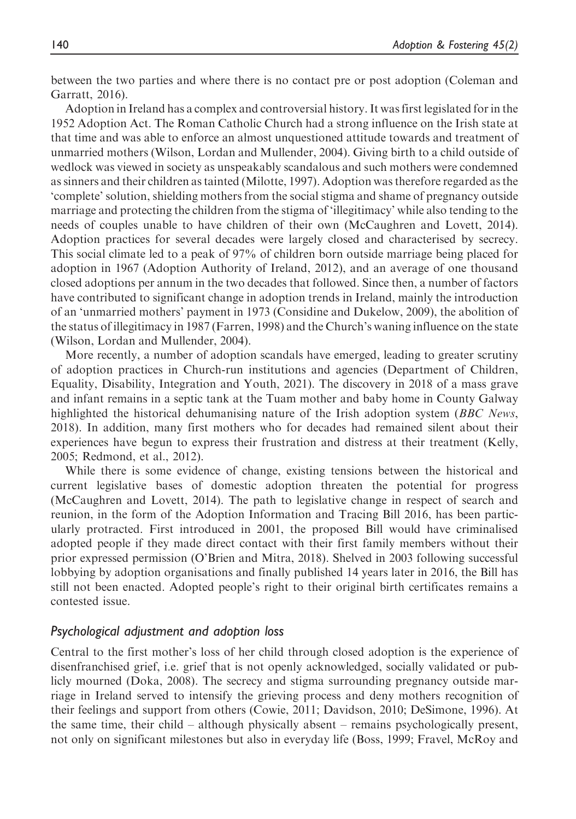between the two parties and where there is no contact pre or post adoption (Coleman and Garratt, 2016).

Adoption in Ireland has a complex and controversial history. It was first legislated for in the 1952 Adoption Act. The Roman Catholic Church had a strong influence on the Irish state at that time and was able to enforce an almost unquestioned attitude towards and treatment of unmarried mothers (Wilson, Lordan and Mullender, 2004). Giving birth to a child outside of wedlock was viewed in society as unspeakably scandalous and such mothers were condemned as sinners and their children as tainted (Milotte, 1997). Adoption was therefore regarded as the 'complete' solution, shielding mothers from the social stigma and shame of pregnancy outside marriage and protecting the children from the stigma of 'illegitimacy' while also tending to the needs of couples unable to have children of their own (McCaughren and Lovett, 2014). Adoption practices for several decades were largely closed and characterised by secrecy. This social climate led to a peak of 97% of children born outside marriage being placed for adoption in 1967 (Adoption Authority of Ireland, 2012), and an average of one thousand closed adoptions per annum in the two decades that followed. Since then, a number of factors have contributed to significant change in adoption trends in Ireland, mainly the introduction of an 'unmarried mothers' payment in 1973 (Considine and Dukelow, 2009), the abolition of the status of illegitimacy in 1987 (Farren, 1998) and the Church's waning influence on the state (Wilson, Lordan and Mullender, 2004).

More recently, a number of adoption scandals have emerged, leading to greater scrutiny of adoption practices in Church-run institutions and agencies (Department of Children, Equality, Disability, Integration and Youth, 2021). The discovery in 2018 of a mass grave and infant remains in a septic tank at the Tuam mother and baby home in County Galway highlighted the historical dehumanising nature of the Irish adoption system (*BBC News*, 2018). In addition, many first mothers who for decades had remained silent about their experiences have begun to express their frustration and distress at their treatment (Kelly, 2005; Redmond, et al., 2012).

While there is some evidence of change, existing tensions between the historical and current legislative bases of domestic adoption threaten the potential for progress (McCaughren and Lovett, 2014). The path to legislative change in respect of search and reunion, in the form of the Adoption Information and Tracing Bill 2016, has been particularly protracted. First introduced in 2001, the proposed Bill would have criminalised adopted people if they made direct contact with their first family members without their prior expressed permission (O'Brien and Mitra, 2018). Shelved in 2003 following successful lobbying by adoption organisations and finally published 14 years later in 2016, the Bill has still not been enacted. Adopted people's right to their original birth certificates remains a contested issue.

#### Psychological adjustment and adoption loss

Central to the first mother's loss of her child through closed adoption is the experience of disenfranchised grief, i.e. grief that is not openly acknowledged, socially validated or publicly mourned (Doka, 2008). The secrecy and stigma surrounding pregnancy outside marriage in Ireland served to intensify the grieving process and deny mothers recognition of their feelings and support from others (Cowie, 2011; Davidson, 2010; DeSimone, 1996). At the same time, their child – although physically absent – remains psychologically present, not only on significant milestones but also in everyday life (Boss, 1999; Fravel, McRoy and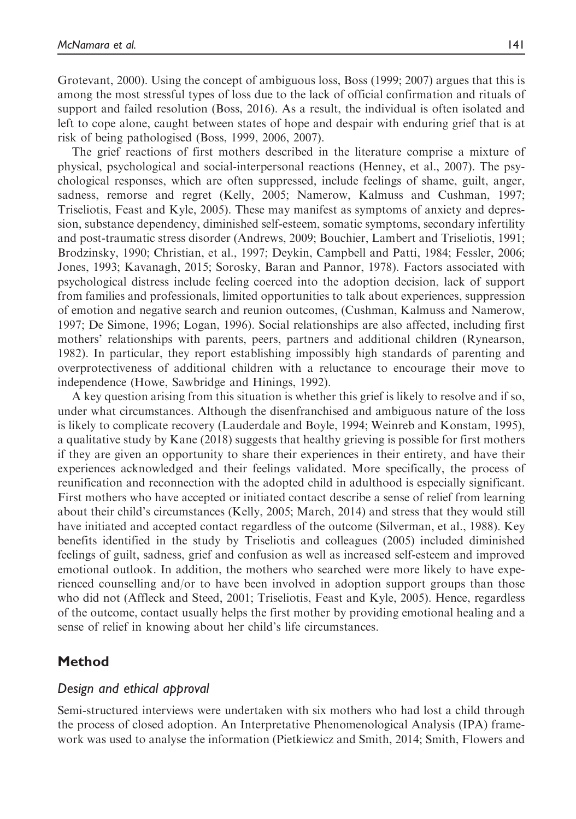Grotevant, 2000). Using the concept of ambiguous loss, Boss (1999; 2007) argues that this is among the most stressful types of loss due to the lack of official confirmation and rituals of support and failed resolution (Boss, 2016). As a result, the individual is often isolated and left to cope alone, caught between states of hope and despair with enduring grief that is at risk of being pathologised (Boss, 1999, 2006, 2007).

The grief reactions of first mothers described in the literature comprise a mixture of physical, psychological and social-interpersonal reactions (Henney, et al., 2007). The psychological responses, which are often suppressed, include feelings of shame, guilt, anger, sadness, remorse and regret (Kelly, 2005; Namerow, Kalmuss and Cushman, 1997; Triseliotis, Feast and Kyle, 2005). These may manifest as symptoms of anxiety and depression, substance dependency, diminished self-esteem, somatic symptoms, secondary infertility and post-traumatic stress disorder (Andrews, 2009; Bouchier, Lambert and Triseliotis, 1991; Brodzinsky, 1990; Christian, et al., 1997; Deykin, Campbell and Patti, 1984; Fessler, 2006; Jones, 1993; Kavanagh, 2015; Sorosky, Baran and Pannor, 1978). Factors associated with psychological distress include feeling coerced into the adoption decision, lack of support from families and professionals, limited opportunities to talk about experiences, suppression of emotion and negative search and reunion outcomes, (Cushman, Kalmuss and Namerow, 1997; De Simone, 1996; Logan, 1996). Social relationships are also affected, including first mothers' relationships with parents, peers, partners and additional children (Rynearson, 1982). In particular, they report establishing impossibly high standards of parenting and overprotectiveness of additional children with a reluctance to encourage their move to independence (Howe, Sawbridge and Hinings, 1992).

A key question arising from this situation is whether this grief is likely to resolve and if so, under what circumstances. Although the disenfranchised and ambiguous nature of the loss is likely to complicate recovery (Lauderdale and Boyle, 1994; Weinreb and Konstam, 1995), a qualitative study by Kane (2018) suggests that healthy grieving is possible for first mothers if they are given an opportunity to share their experiences in their entirety, and have their experiences acknowledged and their feelings validated. More specifically, the process of reunification and reconnection with the adopted child in adulthood is especially significant. First mothers who have accepted or initiated contact describe a sense of relief from learning about their child's circumstances (Kelly, 2005; March, 2014) and stress that they would still have initiated and accepted contact regardless of the outcome (Silverman, et al., 1988). Key benefits identified in the study by Triseliotis and colleagues (2005) included diminished feelings of guilt, sadness, grief and confusion as well as increased self-esteem and improved emotional outlook. In addition, the mothers who searched were more likely to have experienced counselling and/or to have been involved in adoption support groups than those who did not (Affleck and Steed, 2001; Triseliotis, Feast and Kyle, 2005). Hence, regardless of the outcome, contact usually helps the first mother by providing emotional healing and a sense of relief in knowing about her child's life circumstances.

## Method

#### Design and ethical approval

Semi-structured interviews were undertaken with six mothers who had lost a child through the process of closed adoption. An Interpretative Phenomenological Analysis (IPA) framework was used to analyse the information (Pietkiewicz and Smith, 2014; Smith, Flowers and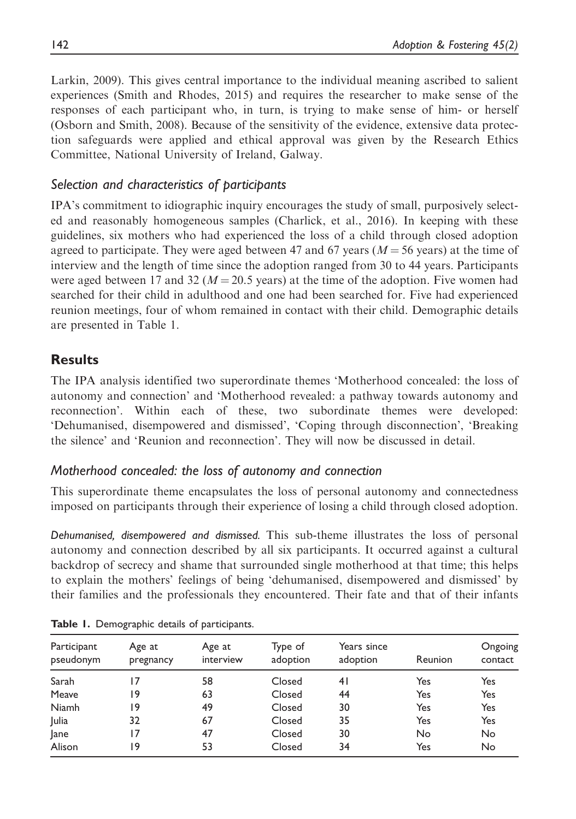Larkin, 2009). This gives central importance to the individual meaning ascribed to salient experiences (Smith and Rhodes, 2015) and requires the researcher to make sense of the responses of each participant who, in turn, is trying to make sense of him- or herself (Osborn and Smith, 2008). Because of the sensitivity of the evidence, extensive data protection safeguards were applied and ethical approval was given by the Research Ethics Committee, National University of Ireland, Galway.

# Selection and characteristics of participants

IPA's commitment to idiographic inquiry encourages the study of small, purposively selected and reasonably homogeneous samples (Charlick, et al., 2016). In keeping with these guidelines, six mothers who had experienced the loss of a child through closed adoption agreed to participate. They were aged between 47 and 67 years ( $M = 56$  years) at the time of interview and the length of time since the adoption ranged from 30 to 44 years. Participants were aged between 17 and 32 ( $M = 20.5$  years) at the time of the adoption. Five women had searched for their child in adulthood and one had been searched for. Five had experienced reunion meetings, four of whom remained in contact with their child. Demographic details are presented in Table 1.

# **Results**

The IPA analysis identified two superordinate themes 'Motherhood concealed: the loss of autonomy and connection' and 'Motherhood revealed: a pathway towards autonomy and reconnection'. Within each of these, two subordinate themes were developed: 'Dehumanised, disempowered and dismissed', 'Coping through disconnection', 'Breaking the silence' and 'Reunion and reconnection'. They will now be discussed in detail.

# Motherhood concealed: the loss of autonomy and connection

This superordinate theme encapsulates the loss of personal autonomy and connectedness imposed on participants through their experience of losing a child through closed adoption.

Dehumanised, disempowered and dismissed. This sub-theme illustrates the loss of personal autonomy and connection described by all six participants. It occurred against a cultural backdrop of secrecy and shame that surrounded single motherhood at that time; this helps to explain the mothers' feelings of being 'dehumanised, disempowered and dismissed' by their families and the professionals they encountered. Their fate and that of their infants

| Participant<br>pseudonym | Age at<br>pregnancy | Age at<br>interview | Type of<br>adoption | Years since<br>adoption | Reunion | Ongoing<br>contact |
|--------------------------|---------------------|---------------------|---------------------|-------------------------|---------|--------------------|
| Sarah                    |                     | 58                  | Closed              | 41                      | Yes     | Yes                |
| Meave                    | و ا                 | 63                  | Closed              | 44                      | Yes     | Yes                |
| Niamh                    | و ا                 | 49                  | Closed              | 30                      | Yes     | Yes                |
| Julia                    | 32                  | 67                  | Closed              | 35                      | Yes     | Yes                |
| Jane                     | ۱7                  | 47                  | Closed              | 30                      | No      | No                 |
| Alison                   | ۱9                  | 53                  | Closed              | 34                      | Yes     | No                 |

Table 1. Demographic details of participants.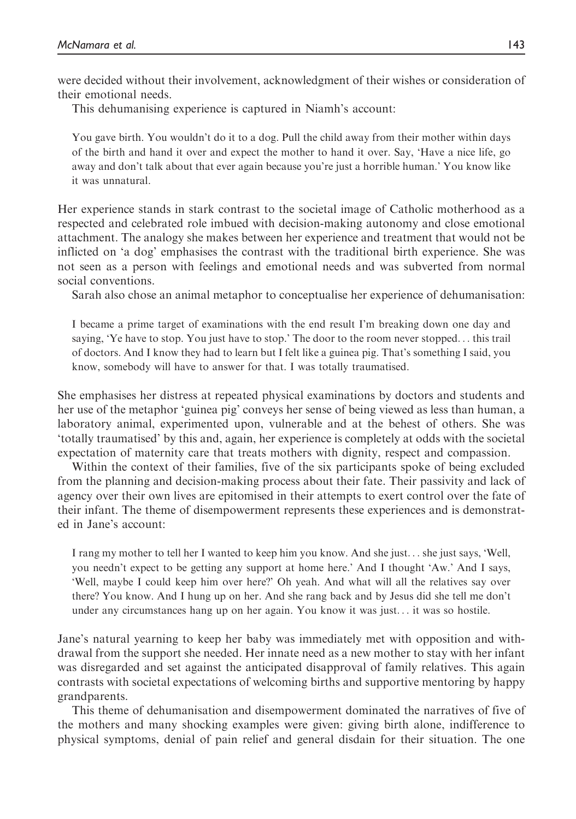were decided without their involvement, acknowledgment of their wishes or consideration of their emotional needs.

This dehumanising experience is captured in Niamh's account:

You gave birth. You wouldn't do it to a dog. Pull the child away from their mother within days of the birth and hand it over and expect the mother to hand it over. Say, 'Have a nice life, go away and don't talk about that ever again because you're just a horrible human.' You know like it was unnatural.

Her experience stands in stark contrast to the societal image of Catholic motherhood as a respected and celebrated role imbued with decision-making autonomy and close emotional attachment. The analogy she makes between her experience and treatment that would not be inflicted on 'a dog' emphasises the contrast with the traditional birth experience. She was not seen as a person with feelings and emotional needs and was subverted from normal social conventions.

Sarah also chose an animal metaphor to conceptualise her experience of dehumanisation:

I became a prime target of examinations with the end result I'm breaking down one day and saying, 'Ye have to stop. You just have to stop.' The door to the room never stopped... this trail of doctors. And I know they had to learn but I felt like a guinea pig. That's something I said, you know, somebody will have to answer for that. I was totally traumatised.

She emphasises her distress at repeated physical examinations by doctors and students and her use of the metaphor 'guinea pig' conveys her sense of being viewed as less than human, a laboratory animal, experimented upon, vulnerable and at the behest of others. She was 'totally traumatised' by this and, again, her experience is completely at odds with the societal expectation of maternity care that treats mothers with dignity, respect and compassion.

Within the context of their families, five of the six participants spoke of being excluded from the planning and decision-making process about their fate. Their passivity and lack of agency over their own lives are epitomised in their attempts to exert control over the fate of their infant. The theme of disempowerment represents these experiences and is demonstrated in Jane's account:

I rang my mother to tell her I wanted to keep him you know. And she just... she just says, 'Well, you needn't expect to be getting any support at home here.' And I thought 'Aw.' And I says, 'Well, maybe I could keep him over here?' Oh yeah. And what will all the relatives say over there? You know. And I hung up on her. And she rang back and by Jesus did she tell me don't under any circumstances hang up on her again. You know it was just... it was so hostile.

Jane's natural yearning to keep her baby was immediately met with opposition and withdrawal from the support she needed. Her innate need as a new mother to stay with her infant was disregarded and set against the anticipated disapproval of family relatives. This again contrasts with societal expectations of welcoming births and supportive mentoring by happy grandparents.

This theme of dehumanisation and disempowerment dominated the narratives of five of the mothers and many shocking examples were given: giving birth alone, indifference to physical symptoms, denial of pain relief and general disdain for their situation. The one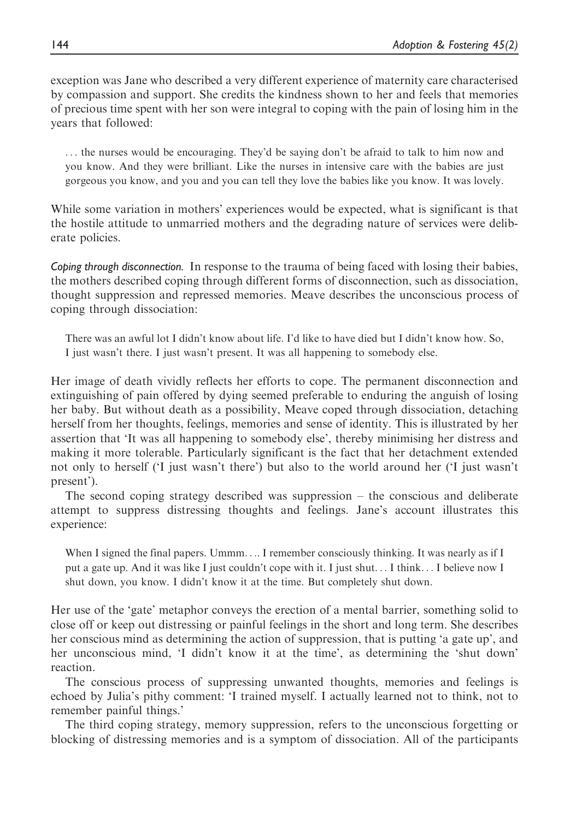exception was Jane who described a very different experience of maternity care characterised by compassion and support. She credits the kindness shown to her and feels that memories of precious time spent with her son were integral to coping with the pain of losing him in the years that followed:

... the nurses would be encouraging. They'd be saying don't be afraid to talk to him now and you know. And they were brilliant. Like the nurses in intensive care with the babies are just gorgeous you know, and you and you can tell they love the babies like you know. It was lovely.

While some variation in mothers' experiences would be expected, what is significant is that the hostile attitude to unmarried mothers and the degrading nature of services were deliberate policies.

Coping through disconnection. In response to the trauma of being faced with losing their babies, the mothers described coping through different forms of disconnection, such as dissociation, thought suppression and repressed memories. Meave describes the unconscious process of coping through dissociation:

There was an awful lot I didn't know about life. I'd like to have died but I didn't know how. So, I just wasn't there. I just wasn't present. It was all happening to somebody else.

Her image of death vividly reflects her efforts to cope. The permanent disconnection and extinguishing of pain offered by dying seemed preferable to enduring the anguish of losing her baby. But without death as a possibility, Meave coped through dissociation, detaching herself from her thoughts, feelings, memories and sense of identity. This is illustrated by her assertion that 'It was all happening to somebody else', thereby minimising her distress and making it more tolerable. Particularly significant is the fact that her detachment extended not only to herself ('I just wasn't there') but also to the world around her ('I just wasn't present').

The second coping strategy described was suppression – the conscious and deliberate attempt to suppress distressing thoughts and feelings. Jane's account illustrates this experience:

When I signed the final papers. Ummm.... I remember consciously thinking. It was nearly as if I put a gate up. And it was like I just couldn't cope with it. I just shut... I think... I believe now I shut down, you know. I didn't know it at the time. But completely shut down.

Her use of the 'gate' metaphor conveys the erection of a mental barrier, something solid to close off or keep out distressing or painful feelings in the short and long term. She describes her conscious mind as determining the action of suppression, that is putting 'a gate up', and her unconscious mind, 'I didn't know it at the time', as determining the 'shut down' reaction.

The conscious process of suppressing unwanted thoughts, memories and feelings is echoed by Julia's pithy comment: 'I trained myself. I actually learned not to think, not to remember painful things.'

The third coping strategy, memory suppression, refers to the unconscious forgetting or blocking of distressing memories and is a symptom of dissociation. All of the participants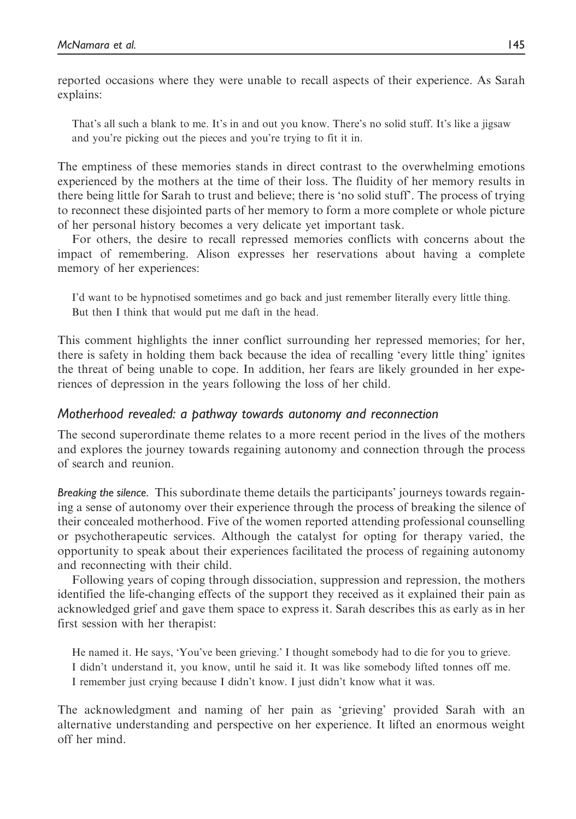reported occasions where they were unable to recall aspects of their experience. As Sarah explains:

That's all such a blank to me. It's in and out you know. There's no solid stuff. It's like a jigsaw and you're picking out the pieces and you're trying to fit it in.

The emptiness of these memories stands in direct contrast to the overwhelming emotions experienced by the mothers at the time of their loss. The fluidity of her memory results in there being little for Sarah to trust and believe; there is 'no solid stuff'. The process of trying to reconnect these disjointed parts of her memory to form a more complete or whole picture of her personal history becomes a very delicate yet important task.

For others, the desire to recall repressed memories conflicts with concerns about the impact of remembering. Alison expresses her reservations about having a complete memory of her experiences:

I'd want to be hypnotised sometimes and go back and just remember literally every little thing. But then I think that would put me daft in the head.

This comment highlights the inner conflict surrounding her repressed memories; for her, there is safety in holding them back because the idea of recalling 'every little thing' ignites the threat of being unable to cope. In addition, her fears are likely grounded in her experiences of depression in the years following the loss of her child.

## Motherhood revealed: a pathway towards autonomy and reconnection

The second superordinate theme relates to a more recent period in the lives of the mothers and explores the journey towards regaining autonomy and connection through the process of search and reunion.

Breaking the silence. This subordinate theme details the participants' journeys towards regaining a sense of autonomy over their experience through the process of breaking the silence of their concealed motherhood. Five of the women reported attending professional counselling or psychotherapeutic services. Although the catalyst for opting for therapy varied, the opportunity to speak about their experiences facilitated the process of regaining autonomy and reconnecting with their child.

Following years of coping through dissociation, suppression and repression, the mothers identified the life-changing effects of the support they received as it explained their pain as acknowledged grief and gave them space to express it. Sarah describes this as early as in her first session with her therapist:

He named it. He says, 'You've been grieving.' I thought somebody had to die for you to grieve. I didn't understand it, you know, until he said it. It was like somebody lifted tonnes off me. I remember just crying because I didn't know. I just didn't know what it was.

The acknowledgment and naming of her pain as 'grieving' provided Sarah with an alternative understanding and perspective on her experience. It lifted an enormous weight off her mind.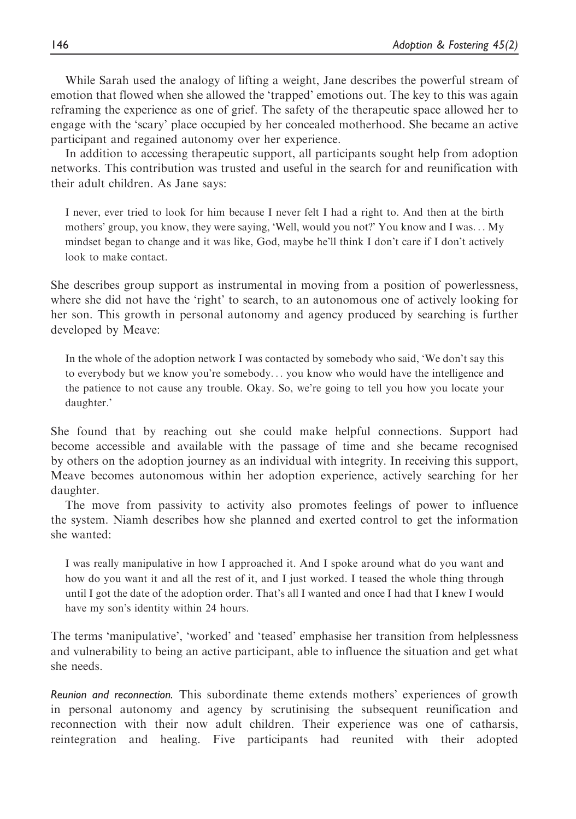While Sarah used the analogy of lifting a weight, Jane describes the powerful stream of emotion that flowed when she allowed the 'trapped' emotions out. The key to this was again reframing the experience as one of grief. The safety of the therapeutic space allowed her to engage with the 'scary' place occupied by her concealed motherhood. She became an active participant and regained autonomy over her experience.

In addition to accessing therapeutic support, all participants sought help from adoption networks. This contribution was trusted and useful in the search for and reunification with their adult children. As Jane says:

I never, ever tried to look for him because I never felt I had a right to. And then at the birth mothers' group, you know, they were saying, 'Well, would you not?' You know and I was... My mindset began to change and it was like, God, maybe he'll think I don't care if I don't actively look to make contact.

She describes group support as instrumental in moving from a position of powerlessness, where she did not have the 'right' to search, to an autonomous one of actively looking for her son. This growth in personal autonomy and agency produced by searching is further developed by Meave:

In the whole of the adoption network I was contacted by somebody who said, 'We don't say this to everybody but we know you're somebody... you know who would have the intelligence and the patience to not cause any trouble. Okay. So, we're going to tell you how you locate your daughter.'

She found that by reaching out she could make helpful connections. Support had become accessible and available with the passage of time and she became recognised by others on the adoption journey as an individual with integrity. In receiving this support, Meave becomes autonomous within her adoption experience, actively searching for her daughter.

The move from passivity to activity also promotes feelings of power to influence the system. Niamh describes how she planned and exerted control to get the information she wanted:

I was really manipulative in how I approached it. And I spoke around what do you want and how do you want it and all the rest of it, and I just worked. I teased the whole thing through until I got the date of the adoption order. That's all I wanted and once I had that I knew I would have my son's identity within 24 hours.

The terms 'manipulative', 'worked' and 'teased' emphasise her transition from helplessness and vulnerability to being an active participant, able to influence the situation and get what she needs.

Reunion and reconnection. This subordinate theme extends mothers' experiences of growth in personal autonomy and agency by scrutinising the subsequent reunification and reconnection with their now adult children. Their experience was one of catharsis, reintegration and healing. Five participants had reunited with their adopted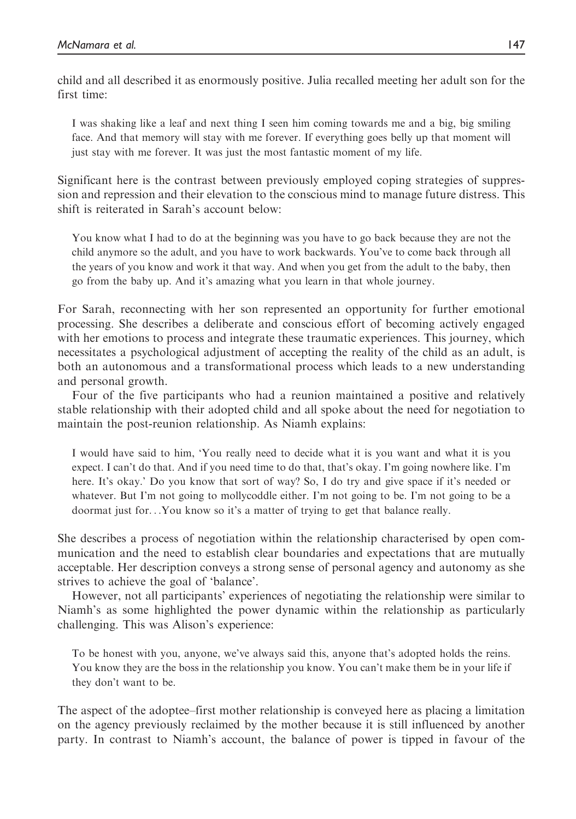child and all described it as enormously positive. Julia recalled meeting her adult son for the first time:

I was shaking like a leaf and next thing I seen him coming towards me and a big, big smiling face. And that memory will stay with me forever. If everything goes belly up that moment will just stay with me forever. It was just the most fantastic moment of my life.

Significant here is the contrast between previously employed coping strategies of suppression and repression and their elevation to the conscious mind to manage future distress. This shift is reiterated in Sarah's account below:

You know what I had to do at the beginning was you have to go back because they are not the child anymore so the adult, and you have to work backwards. You've to come back through all the years of you know and work it that way. And when you get from the adult to the baby, then go from the baby up. And it's amazing what you learn in that whole journey.

For Sarah, reconnecting with her son represented an opportunity for further emotional processing. She describes a deliberate and conscious effort of becoming actively engaged with her emotions to process and integrate these traumatic experiences. This journey, which necessitates a psychological adjustment of accepting the reality of the child as an adult, is both an autonomous and a transformational process which leads to a new understanding and personal growth.

Four of the five participants who had a reunion maintained a positive and relatively stable relationship with their adopted child and all spoke about the need for negotiation to maintain the post-reunion relationship. As Niamh explains:

I would have said to him, 'You really need to decide what it is you want and what it is you expect. I can't do that. And if you need time to do that, that's okay. I'm going nowhere like. I'm here. It's okay.' Do you know that sort of way? So, I do try and give space if it's needed or whatever. But I'm not going to mollycoddle either. I'm not going to be. I'm not going to be a doormat just for...You know so it's a matter of trying to get that balance really.

She describes a process of negotiation within the relationship characterised by open communication and the need to establish clear boundaries and expectations that are mutually acceptable. Her description conveys a strong sense of personal agency and autonomy as she strives to achieve the goal of 'balance'.

However, not all participants' experiences of negotiating the relationship were similar to Niamh's as some highlighted the power dynamic within the relationship as particularly challenging. This was Alison's experience:

To be honest with you, anyone, we've always said this, anyone that's adopted holds the reins. You know they are the boss in the relationship you know. You can't make them be in your life if they don't want to be.

The aspect of the adoptee–first mother relationship is conveyed here as placing a limitation on the agency previously reclaimed by the mother because it is still influenced by another party. In contrast to Niamh's account, the balance of power is tipped in favour of the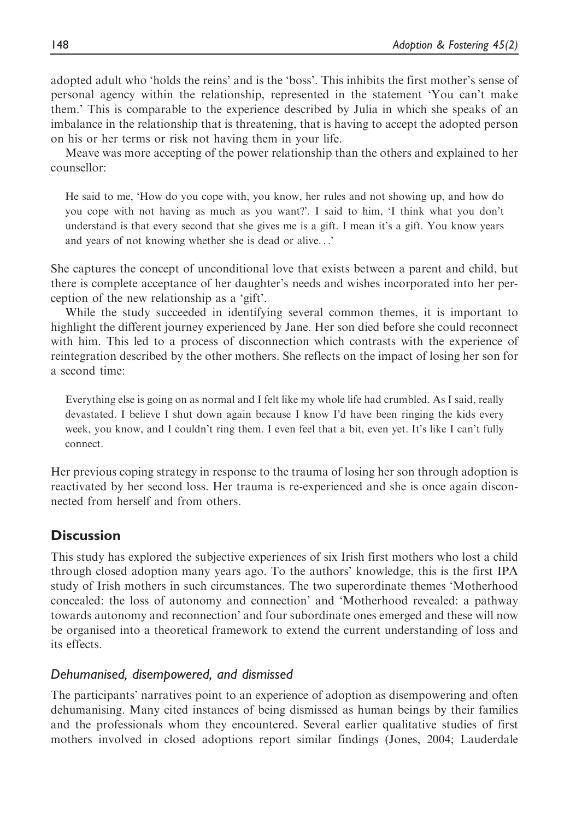adopted adult who 'holds the reins' and is the 'boss'. This inhibits the first mother's sense of personal agency within the relationship, represented in the statement 'You can't make them.' This is comparable to the experience described by Julia in which she speaks of an imbalance in the relationship that is threatening, that is having to accept the adopted person on his or her terms or risk not having them in your life.

Meave was more accepting of the power relationship than the others and explained to her counsellor:

He said to me, 'How do you cope with, you know, her rules and not showing up, and how do you cope with not having as much as you want?'. I said to him, 'I think what you don't understand is that every second that she gives me is a gift. I mean it's a gift. You know years and years of not knowing whether she is dead or alive...'

She captures the concept of unconditional love that exists between a parent and child, but there is complete acceptance of her daughter's needs and wishes incorporated into her perception of the new relationship as a 'gift'.

While the study succeeded in identifying several common themes, it is important to highlight the different journey experienced by Jane. Her son died before she could reconnect with him. This led to a process of disconnection which contrasts with the experience of reintegration described by the other mothers. She reflects on the impact of losing her son for a second time:

Everything else is going on as normal and I felt like my whole life had crumbled. As I said, really devastated. I believe I shut down again because I know I'd have been ringing the kids every week, you know, and I couldn't ring them. I even feel that a bit, even yet. It's like I can't fully connect.

Her previous coping strategy in response to the trauma of losing her son through adoption is reactivated by her second loss. Her trauma is re-experienced and she is once again disconnected from herself and from others.

# **Discussion**

This study has explored the subjective experiences of six Irish first mothers who lost a child through closed adoption many years ago. To the authors' knowledge, this is the first IPA study of Irish mothers in such circumstances. The two superordinate themes 'Motherhood concealed: the loss of autonomy and connection' and 'Motherhood revealed: a pathway towards autonomy and reconnection' and four subordinate ones emerged and these will now be organised into a theoretical framework to extend the current understanding of loss and its effects.

# Dehumanised, disempowered, and dismissed

The participants' narratives point to an experience of adoption as disempowering and often dehumanising. Many cited instances of being dismissed as human beings by their families and the professionals whom they encountered. Several earlier qualitative studies of first mothers involved in closed adoptions report similar findings (Jones, 2004; Lauderdale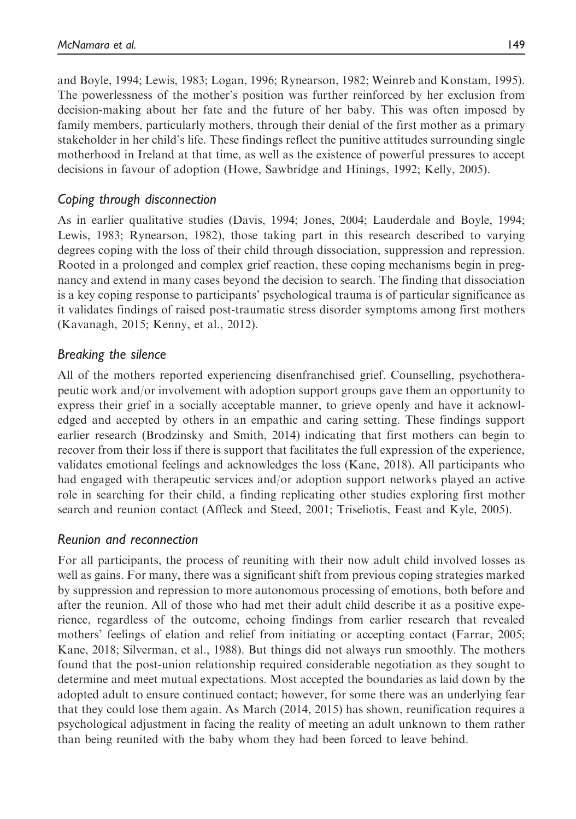and Boyle, 1994; Lewis, 1983; Logan, 1996; Rynearson, 1982; Weinreb and Konstam, 1995). The powerlessness of the mother's position was further reinforced by her exclusion from decision-making about her fate and the future of her baby. This was often imposed by family members, particularly mothers, through their denial of the first mother as a primary stakeholder in her child's life. These findings reflect the punitive attitudes surrounding single motherhood in Ireland at that time, as well as the existence of powerful pressures to accept decisions in favour of adoption (Howe, Sawbridge and Hinings, 1992; Kelly, 2005).

# Coping through disconnection

As in earlier qualitative studies (Davis, 1994; Jones, 2004; Lauderdale and Boyle, 1994; Lewis, 1983; Rynearson, 1982), those taking part in this research described to varying degrees coping with the loss of their child through dissociation, suppression and repression. Rooted in a prolonged and complex grief reaction, these coping mechanisms begin in pregnancy and extend in many cases beyond the decision to search. The finding that dissociation is a key coping response to participants' psychological trauma is of particular significance as it validates findings of raised post-traumatic stress disorder symptoms among first mothers (Kavanagh, 2015; Kenny, et al., 2012).

## Breaking the silence

All of the mothers reported experiencing disenfranchised grief. Counselling, psychotherapeutic work and/or involvement with adoption support groups gave them an opportunity to express their grief in a socially acceptable manner, to grieve openly and have it acknowledged and accepted by others in an empathic and caring setting. These findings support earlier research (Brodzinsky and Smith, 2014) indicating that first mothers can begin to recover from their loss if there is support that facilitates the full expression of the experience, validates emotional feelings and acknowledges the loss (Kane, 2018). All participants who had engaged with therapeutic services and/or adoption support networks played an active role in searching for their child, a finding replicating other studies exploring first mother search and reunion contact (Affleck and Steed, 2001; Triseliotis, Feast and Kyle, 2005).

## Reunion and reconnection

For all participants, the process of reuniting with their now adult child involved losses as well as gains. For many, there was a significant shift from previous coping strategies marked by suppression and repression to more autonomous processing of emotions, both before and after the reunion. All of those who had met their adult child describe it as a positive experience, regardless of the outcome, echoing findings from earlier research that revealed mothers' feelings of elation and relief from initiating or accepting contact (Farrar, 2005; Kane, 2018; Silverman, et al., 1988). But things did not always run smoothly. The mothers found that the post-union relationship required considerable negotiation as they sought to determine and meet mutual expectations. Most accepted the boundaries as laid down by the adopted adult to ensure continued contact; however, for some there was an underlying fear that they could lose them again. As March (2014, 2015) has shown, reunification requires a psychological adjustment in facing the reality of meeting an adult unknown to them rather than being reunited with the baby whom they had been forced to leave behind.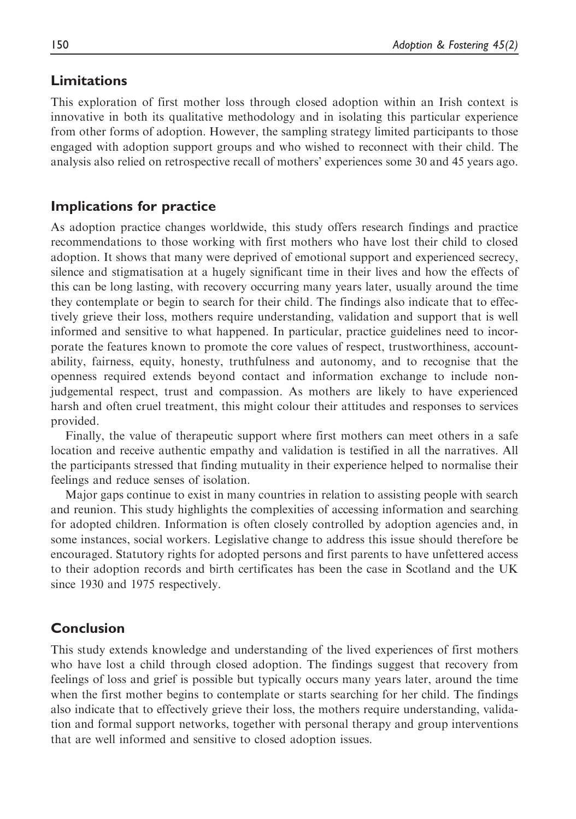# Limitations

This exploration of first mother loss through closed adoption within an Irish context is innovative in both its qualitative methodology and in isolating this particular experience from other forms of adoption. However, the sampling strategy limited participants to those engaged with adoption support groups and who wished to reconnect with their child. The analysis also relied on retrospective recall of mothers' experiences some 30 and 45 years ago.

## Implications for practice

As adoption practice changes worldwide, this study offers research findings and practice recommendations to those working with first mothers who have lost their child to closed adoption. It shows that many were deprived of emotional support and experienced secrecy, silence and stigmatisation at a hugely significant time in their lives and how the effects of this can be long lasting, with recovery occurring many years later, usually around the time they contemplate or begin to search for their child. The findings also indicate that to effectively grieve their loss, mothers require understanding, validation and support that is well informed and sensitive to what happened. In particular, practice guidelines need to incorporate the features known to promote the core values of respect, trustworthiness, accountability, fairness, equity, honesty, truthfulness and autonomy, and to recognise that the openness required extends beyond contact and information exchange to include nonjudgemental respect, trust and compassion. As mothers are likely to have experienced harsh and often cruel treatment, this might colour their attitudes and responses to services provided.

Finally, the value of therapeutic support where first mothers can meet others in a safe location and receive authentic empathy and validation is testified in all the narratives. All the participants stressed that finding mutuality in their experience helped to normalise their feelings and reduce senses of isolation.

Major gaps continue to exist in many countries in relation to assisting people with search and reunion. This study highlights the complexities of accessing information and searching for adopted children. Information is often closely controlled by adoption agencies and, in some instances, social workers. Legislative change to address this issue should therefore be encouraged. Statutory rights for adopted persons and first parents to have unfettered access to their adoption records and birth certificates has been the case in Scotland and the UK since 1930 and 1975 respectively.

## Conclusion

This study extends knowledge and understanding of the lived experiences of first mothers who have lost a child through closed adoption. The findings suggest that recovery from feelings of loss and grief is possible but typically occurs many years later, around the time when the first mother begins to contemplate or starts searching for her child. The findings also indicate that to effectively grieve their loss, the mothers require understanding, validation and formal support networks, together with personal therapy and group interventions that are well informed and sensitive to closed adoption issues.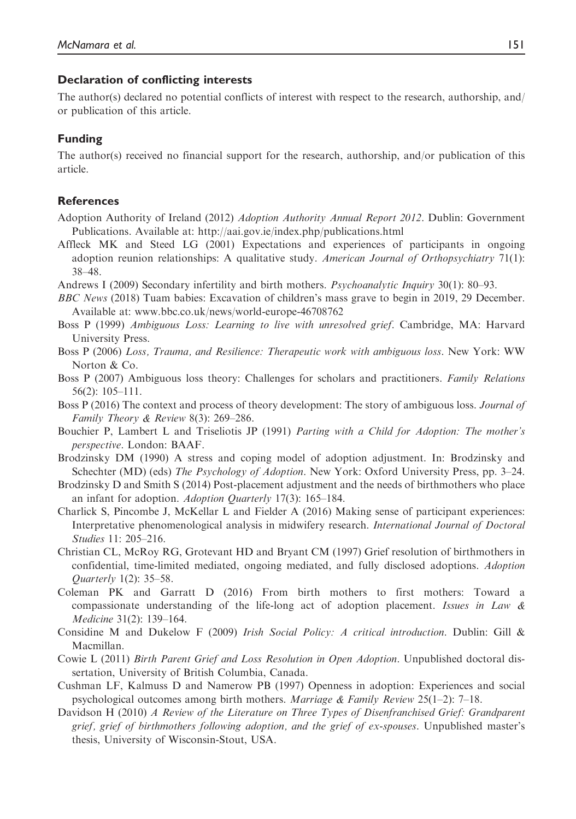#### Declaration of conflicting interests

The author(s) declared no potential conflicts of interest with respect to the research, authorship, and/ or publication of this article.

#### Funding

The author(s) received no financial support for the research, authorship, and/or publication of this article.

#### **References**

- Adoption Authority of Ireland (2012) Adoption Authority Annual Report 2012. Dublin: Government Publications. Available at:<http://aai.gov.ie/index.php/publications.html>
- Affleck MK and Steed LG (2001) Expectations and experiences of participants in ongoing adoption reunion relationships: A qualitative study. American Journal of Orthopsychiatry 71(1): 38–48.
- Andrews I (2009) Secondary infertility and birth mothers. Psychoanalytic Inquiry 30(1): 80–93.
- BBC News (2018) Tuam babies: Excavation of children's mass grave to begin in 2019, 29 December. Available at: [www.bbc.co.uk/news/world-europe-46708762](http://www.bbc.co.uk/news/world-europe-46708762)
- Boss P (1999) Ambiguous Loss: Learning to live with unresolved grief. Cambridge, MA: Harvard University Press.
- Boss P (2006) Loss, Trauma, and Resilience: Therapeutic work with ambiguous loss. New York: WW Norton & Co.
- Boss P (2007) Ambiguous loss theory: Challenges for scholars and practitioners. Family Relations 56(2): 105–111.
- Boss P (2016) The context and process of theory development: The story of ambiguous loss. Journal of Family Theory & Review 8(3): 269–286.
- Bouchier P, Lambert L and Triseliotis JP (1991) Parting with a Child for Adoption: The mother's perspective. London: BAAF.
- Brodzinsky DM (1990) A stress and coping model of adoption adjustment. In: Brodzinsky and Schechter (MD) (eds) The Psychology of Adoption. New York: Oxford University Press, pp. 3–24.
- Brodzinsky D and Smith S (2014) Post-placement adjustment and the needs of birthmothers who place an infant for adoption. Adoption Quarterly 17(3): 165–184.
- Charlick S, Pincombe J, McKellar L and Fielder A (2016) Making sense of participant experiences: Interpretative phenomenological analysis in midwifery research. International Journal of Doctoral Studies 11: 205–216.
- Christian CL, McRoy RG, Grotevant HD and Bryant CM (1997) Grief resolution of birthmothers in confidential, time-limited mediated, ongoing mediated, and fully disclosed adoptions. Adoption Quarterly 1(2): 35–58.
- Coleman PK and Garratt D (2016) From birth mothers to first mothers: Toward a compassionate understanding of the life-long act of adoption placement. Issues in Law  $\&$ Medicine 31(2): 139–164.
- Considine M and Dukelow F (2009) Irish Social Policy: A critical introduction. Dublin: Gill & Macmillan.
- Cowie L (2011) Birth Parent Grief and Loss Resolution in Open Adoption. Unpublished doctoral dissertation, University of British Columbia, Canada.
- Cushman LF, Kalmuss D and Namerow PB (1997) Openness in adoption: Experiences and social psychological outcomes among birth mothers. Marriage & Family Review 25(1–2): 7–18.
- Davidson H (2010) A Review of the Literature on Three Types of Disenfranchised Grief: Grandparent grief, grief of birthmothers following adoption, and the grief of ex-spouses. Unpublished master's thesis, University of Wisconsin-Stout, USA.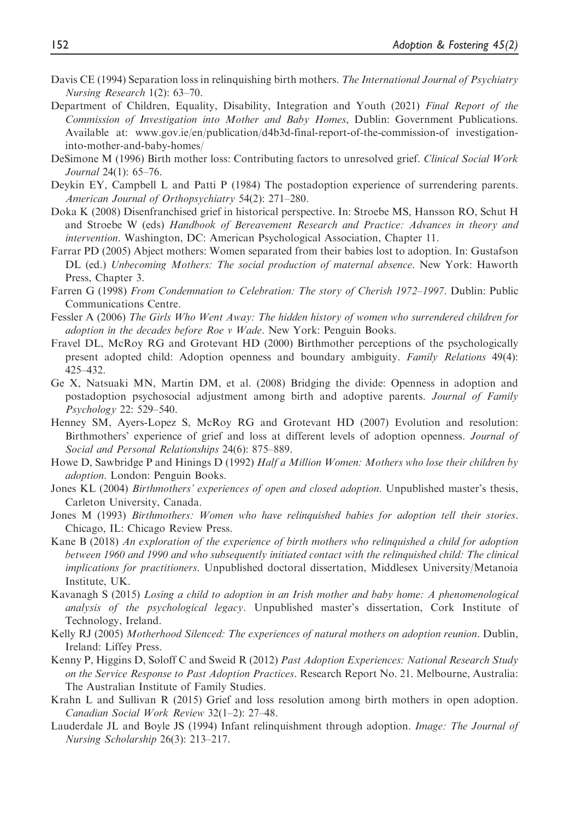- Davis CE (1994) Separation loss in relinquishing birth mothers. The International Journal of Psychiatry Nursing Research 1(2): 63–70.
- Department of Children, Equality, Disability, Integration and Youth (2021) Final Report of the Commission of Investigation into Mother and Baby Homes, Dublin: Government Publications. Available at: [www.gov.ie/en/publication/d4b3d-final-report-of-the-commission-of investigation](www.gov.ie/en/publication/d4b3d-final-report-of-the-commission-of investigation-into-mother-and-baby-homes/)[into-mother-and-baby-homes/](www.gov.ie/en/publication/d4b3d-final-report-of-the-commission-of investigation-into-mother-and-baby-homes/)
- DeSimone M (1996) Birth mother loss: Contributing factors to unresolved grief. Clinical Social Work Journal 24(1): 65–76.
- Deykin EY, Campbell L and Patti P (1984) The postadoption experience of surrendering parents. American Journal of Orthopsychiatry 54(2): 271–280.
- Doka K (2008) Disenfranchised grief in historical perspective. In: Stroebe MS, Hansson RO, Schut H and Stroebe W (eds) Handbook of Bereavement Research and Practice: Advances in theory and intervention. Washington, DC: American Psychological Association, Chapter 11.
- Farrar PD (2005) Abject mothers: Women separated from their babies lost to adoption. In: Gustafson DL (ed.) Unbecoming Mothers: The social production of maternal absence. New York: Haworth Press, Chapter 3.
- Farren G (1998) From Condemnation to Celebration: The story of Cherish 1972–1997. Dublin: Public Communications Centre.
- Fessler A (2006) The Girls Who Went Away: The hidden history of women who surrendered children for adoption in the decades before Roe v Wade. New York: Penguin Books.
- Fravel DL, McRoy RG and Grotevant HD (2000) Birthmother perceptions of the psychologically present adopted child: Adoption openness and boundary ambiguity. Family Relations 49(4): 425–432.
- Ge X, Natsuaki MN, Martin DM, et al. (2008) Bridging the divide: Openness in adoption and postadoption psychosocial adjustment among birth and adoptive parents. Journal of Family Psychology 22: 529–540.
- Henney SM, Ayers-Lopez S, McRoy RG and Grotevant HD (2007) Evolution and resolution: Birthmothers' experience of grief and loss at different levels of adoption openness. Journal of Social and Personal Relationships 24(6): 875–889.
- Howe D, Sawbridge P and Hinings D (1992) Half a Million Women: Mothers who lose their children by adoption. London: Penguin Books.
- Jones KL (2004) Birthmothers' experiences of open and closed adoption. Unpublished master's thesis, Carleton University, Canada.
- Jones M (1993) Birthmothers: Women who have relinquished babies for adoption tell their stories. Chicago, IL: Chicago Review Press.
- Kane B (2018) An exploration of the experience of birth mothers who relinquished a child for adoption between 1960 and 1990 and who subsequently initiated contact with the relinquished child: The clinical implications for practitioners. Unpublished doctoral dissertation, Middlesex University/Metanoia Institute, UK.
- Kavanagh S (2015) Losing a child to adoption in an Irish mother and baby home: A phenomenological analysis of the psychological legacy. Unpublished master's dissertation, Cork Institute of Technology, Ireland.
- Kelly RJ (2005) Motherhood Silenced: The experiences of natural mothers on adoption reunion. Dublin, Ireland: Liffey Press.
- Kenny P, Higgins D, Soloff C and Sweid R (2012) Past Adoption Experiences: National Research Study on the Service Response to Past Adoption Practices. Research Report No. 21. Melbourne, Australia: The Australian Institute of Family Studies.
- Krahn L and Sullivan R (2015) Grief and loss resolution among birth mothers in open adoption. Canadian Social Work Review 32(1–2): 27–48.
- Lauderdale JL and Boyle JS (1994) Infant relinquishment through adoption. Image: The Journal of Nursing Scholarship 26(3): 213–217.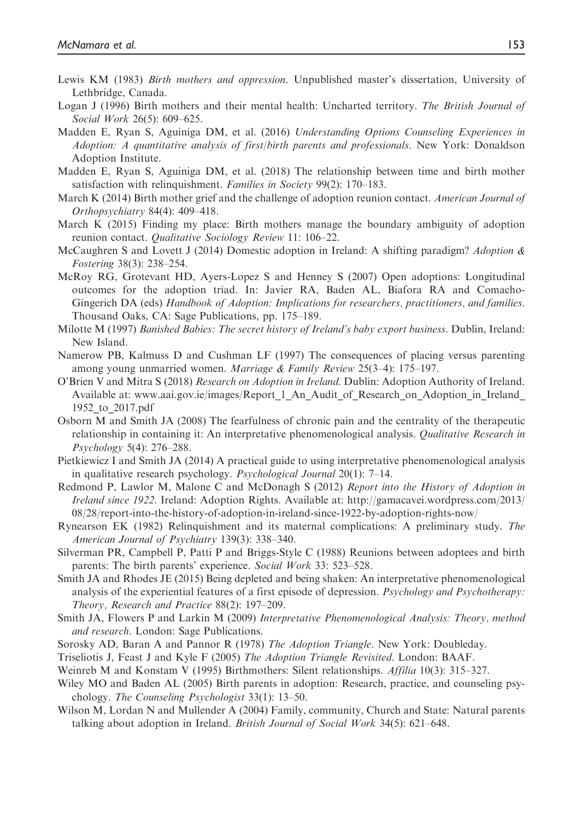- Lewis KM (1983) Birth mothers and oppression. Unpublished master's dissertation, University of Lethbridge, Canada.
- Logan J (1996) Birth mothers and their mental health: Uncharted territory. The British Journal of Social Work 26(5): 609–625.
- Madden E, Ryan S, Aguiniga DM, et al. (2016) Understanding Options Counseling Experiences in Adoption: A quantitative analysis of first/birth parents and professionals. New York: Donaldson Adoption Institute.
- Madden E, Ryan S, Aguiniga DM, et al. (2018) The relationship between time and birth mother satisfaction with relinquishment. Families in Society 99(2): 170–183.
- March K (2014) Birth mother grief and the challenge of adoption reunion contact. American Journal of Orthopsychiatry 84(4): 409–418.
- March K (2015) Finding my place: Birth mothers manage the boundary ambiguity of adoption reunion contact. Qualitative Sociology Review 11: 106–22.
- McCaughren S and Lovett J (2014) Domestic adoption in Ireland: A shifting paradigm? Adoption  $\&$ Fostering 38(3): 238–254.
- McRoy RG, Grotevant HD, Ayers-Lopez S and Henney S (2007) Open adoptions: Longitudinal outcomes for the adoption triad. In: Javier RA, Baden AL, Biafora RA and Comacho-Gingerich DA (eds) Handbook of Adoption: Implications for researchers, practitioners, and families. Thousand Oaks, CA: Sage Publications, pp. 175–189.
- Milotte M (1997) Banished Babies: The secret history of Ireland's baby export business. Dublin, Ireland: New Island.
- Namerow PB, Kalmuss D and Cushman LF (1997) The consequences of placing versus parenting among young unmarried women. Marriage & Family Review 25(3–4): 175–197.
- O'Brien V and Mitra S (2018) Research on Adoption in Ireland. Dublin: Adoption Authority of Ireland. Available at: www.aai.gov.ie/images/Report 1 An Audit of Research on Adoption in Ireland [1952\\_to\\_2017.pdf](http://www.aai.gov.ie/images/Report_1_An_Audit_of_Research_on_Adoption_in_Ireland_1952_to_2017.pdf)
- Osborn M and Smith JA (2008) The fearfulness of chronic pain and the centrality of the therapeutic relationship in containing it: An interpretative phenomenological analysis. Qualitative Research in Psychology 5(4): 276–288.
- Pietkiewicz I and Smith JA (2014) A practical guide to using interpretative phenomenological analysis in qualitative research psychology. Psychological Journal 20(1): 7–14.
- Redmond P, Lawlor M, Malone C and McDonagh S (2012) Report into the History of Adoption in Ireland since 1922. Ireland: Adoption Rights. Available at: [http://gamacavei.wordpress.com/2013/](http://gamacavei.wordpress.com/2013/08/28/report-into-the-history-of-adoption-in-ireland-since-1922-by-adoption-rights-now/) [08/28/report-into-the-history-of-adoption-in-ireland-since-1922-by-adoption-rights-now/](http://gamacavei.wordpress.com/2013/08/28/report-into-the-history-of-adoption-in-ireland-since-1922-by-adoption-rights-now/)
- Rynearson EK (1982) Relinquishment and its maternal complications: A preliminary study. The American Journal of Psychiatry 139(3): 338–340.
- Silverman PR, Campbell P, Patti P and Briggs-Style C (1988) Reunions between adoptees and birth parents: The birth parents' experience. Social Work 33: 523-528.
- Smith JA and Rhodes JE (2015) Being depleted and being shaken: An interpretative phenomenological analysis of the experiential features of a first episode of depression. *Psychology and Psychotherapy*: Theory, Research and Practice 88(2): 197–209.
- Smith JA, Flowers P and Larkin M (2009) Interpretative Phenomenological Analysis: Theory, method and research. London: Sage Publications.
- Sorosky AD, Baran A and Pannor R (1978) The Adoption Triangle. New York: Doubleday.
- Triseliotis J, Feast J and Kyle F (2005) The Adoption Triangle Revisited. London: BAAF.
- Weinreb M and Konstam V (1995) Birthmothers: Silent relationships. Affilia 10(3): 315–327.
- Wiley MO and Baden AL (2005) Birth parents in adoption: Research, practice, and counseling psychology. The Counseling Psychologist 33(1): 13–50.
- Wilson M, Lordan N and Mullender A (2004) Family, community, Church and State: Natural parents talking about adoption in Ireland. British Journal of Social Work 34(5): 621–648.